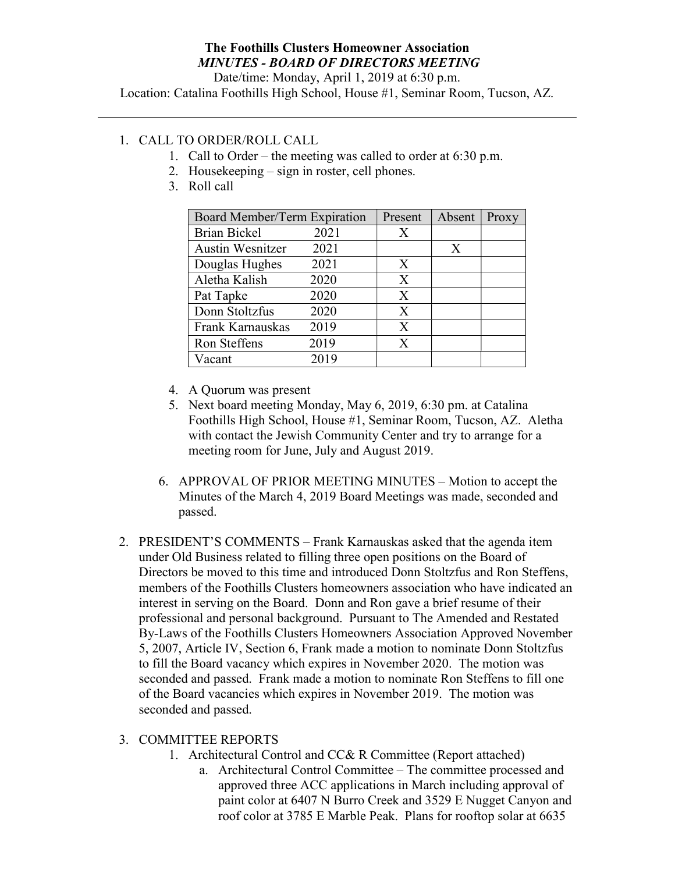## The Foothills Clusters Homeowner Association MINUTES - BOARD OF DIRECTORS MEETING

Date/time: Monday, April 1, 2019 at 6:30 p.m.

Location: Catalina Foothills High School, House #1, Seminar Room, Tucson, AZ.

## 1. CALL TO ORDER/ROLL CALL

- 1. Call to Order the meeting was called to order at 6:30 p.m.
- 2. Housekeeping sign in roster, cell phones.
- 3. Roll call

| Board Member/Term Expiration |      | Present | Absent | Proxy |
|------------------------------|------|---------|--------|-------|
| <b>Brian Bickel</b>          | 2021 | X       |        |       |
| <b>Austin Wesnitzer</b>      | 2021 |         | X      |       |
| Douglas Hughes               | 2021 | X       |        |       |
| Aletha Kalish                | 2020 | X       |        |       |
| Pat Tapke                    | 2020 | X       |        |       |
| Donn Stoltzfus               | 2020 | X       |        |       |
| Frank Karnauskas             | 2019 | X       |        |       |
| Ron Steffens                 | 2019 | X       |        |       |
| Vacant                       | 2019 |         |        |       |

- 4. A Quorum was present
- 5. Next board meeting Monday, May 6, 2019, 6:30 pm. at Catalina Foothills High School, House #1, Seminar Room, Tucson, AZ. Aletha with contact the Jewish Community Center and try to arrange for a meeting room for June, July and August 2019.
- 6. APPROVAL OF PRIOR MEETING MINUTES Motion to accept the Minutes of the March 4, 2019 Board Meetings was made, seconded and passed.
- 2. PRESIDENT'S COMMENTS Frank Karnauskas asked that the agenda item under Old Business related to filling three open positions on the Board of Directors be moved to this time and introduced Donn Stoltzfus and Ron Steffens, members of the Foothills Clusters homeowners association who have indicated an interest in serving on the Board. Donn and Ron gave a brief resume of their professional and personal background. Pursuant to The Amended and Restated By-Laws of the Foothills Clusters Homeowners Association Approved November 5, 2007, Article IV, Section 6, Frank made a motion to nominate Donn Stoltzfus to fill the Board vacancy which expires in November 2020. The motion was seconded and passed. Frank made a motion to nominate Ron Steffens to fill one of the Board vacancies which expires in November 2019. The motion was seconded and passed.

## 3. COMMITTEE REPORTS

- 1. Architectural Control and CC& R Committee (Report attached)
	- a. Architectural Control Committee The committee processed and approved three ACC applications in March including approval of paint color at 6407 N Burro Creek and 3529 E Nugget Canyon and roof color at 3785 E Marble Peak. Plans for rooftop solar at 6635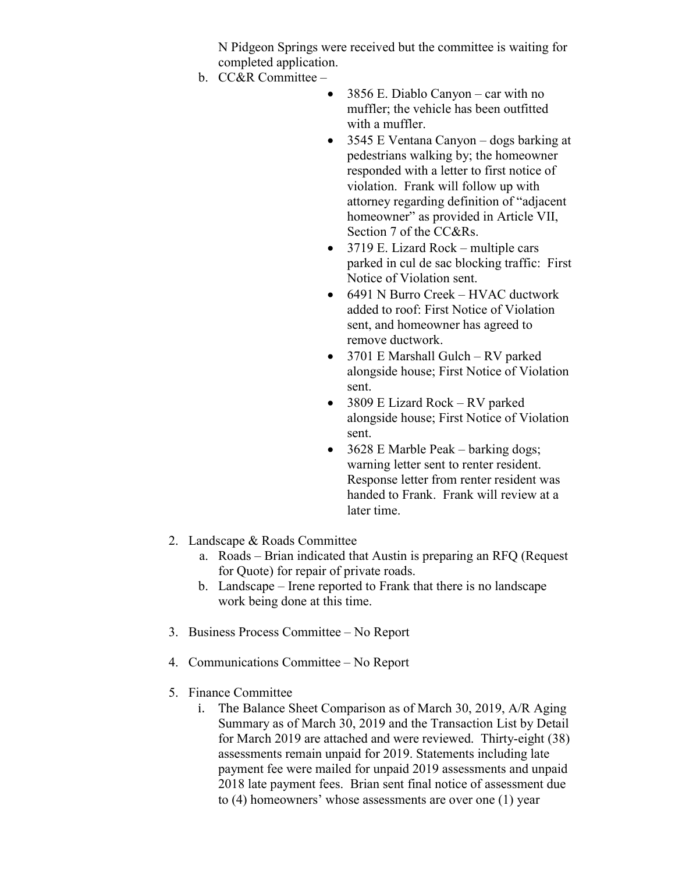N Pidgeon Springs were received but the committee is waiting for completed application.

- b. CC&R Committee
	- 3856 E. Diablo Canyon car with no muffler; the vehicle has been outfitted with a muffler.
	- 3545 E Ventana Canyon dogs barking at pedestrians walking by; the homeowner responded with a letter to first notice of violation. Frank will follow up with attorney regarding definition of "adjacent homeowner" as provided in Article VII, Section 7 of the CC&Rs.
	- 3719 E. Lizard Rock multiple cars parked in cul de sac blocking traffic: First Notice of Violation sent.
	- 6491 N Burro Creek HVAC ductwork added to roof: First Notice of Violation sent, and homeowner has agreed to remove ductwork.
	- 3701 E Marshall Gulch RV parked alongside house; First Notice of Violation sent.
	- 3809 E Lizard Rock RV parked alongside house; First Notice of Violation sent.
	- 3628 E Marble Peak barking dogs; warning letter sent to renter resident. Response letter from renter resident was handed to Frank. Frank will review at a later time.
- 2. Landscape & Roads Committee
	- a. Roads Brian indicated that Austin is preparing an RFQ (Request for Quote) for repair of private roads.
	- b. Landscape Irene reported to Frank that there is no landscape work being done at this time.
- 3. Business Process Committee No Report
- 4. Communications Committee No Report
- 5. Finance Committee
	- i. The Balance Sheet Comparison as of March 30, 2019, A/R Aging Summary as of March 30, 2019 and the Transaction List by Detail for March 2019 are attached and were reviewed. Thirty-eight (38) assessments remain unpaid for 2019. Statements including late payment fee were mailed for unpaid 2019 assessments and unpaid 2018 late payment fees. Brian sent final notice of assessment due to (4) homeowners' whose assessments are over one (1) year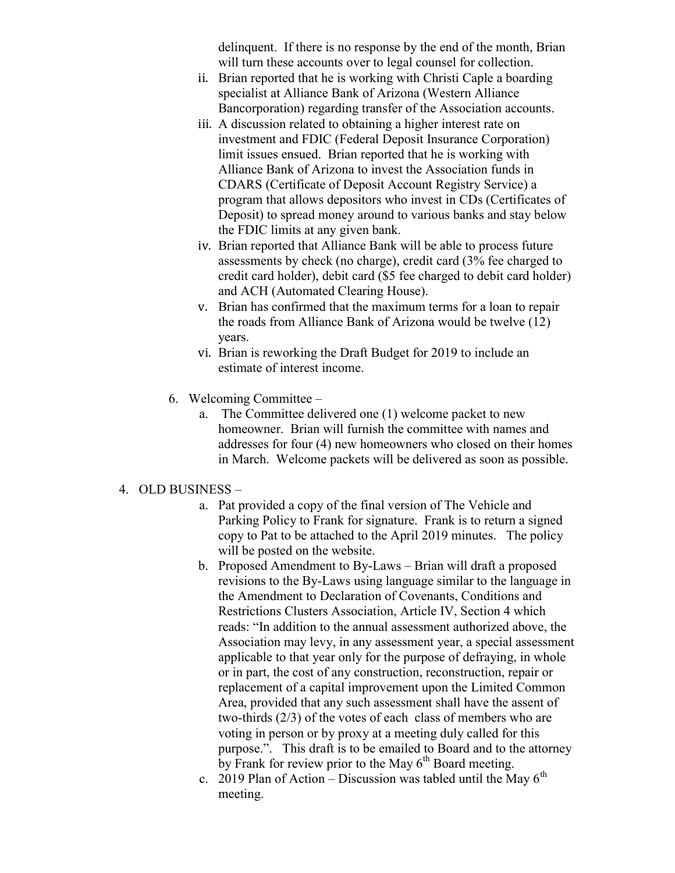delinquent. If there is no response by the end of the month, Brian will turn these accounts over to legal counsel for collection.

- ii. Brian reported that he is working with Christi Caple a boarding specialist at Alliance Bank of Arizona (Western Alliance Bancorporation) regarding transfer of the Association accounts.
- iii. A discussion related to obtaining a higher interest rate on investment and FDIC (Federal Deposit Insurance Corporation) limit issues ensued. Brian reported that he is working with Alliance Bank of Arizona to invest the Association funds in CDARS (Certificate of Deposit Account Registry Service) a program that allows depositors who invest in CDs (Certificates of Deposit) to spread money around to various banks and stay below the FDIC limits at any given bank.
- iv. Brian reported that Alliance Bank will be able to process future assessments by check (no charge), credit card (3% fee charged to credit card holder), debit card (\$5 fee charged to debit card holder) and ACH (Automated Clearing House).
- v. Brian has confirmed that the maximum terms for a loan to repair the roads from Alliance Bank of Arizona would be twelve (12) years.
- vi. Brian is reworking the Draft Budget for 2019 to include an estimate of interest income.
- 6. Welcoming Committee
	- a. The Committee delivered one (1) welcome packet to new homeowner. Brian will furnish the committee with names and addresses for four (4) new homeowners who closed on their homes in March. Welcome packets will be delivered as soon as possible.

## 4. OLD BUSINESS –

- a. Pat provided a copy of the final version of The Vehicle and Parking Policy to Frank for signature. Frank is to return a signed copy to Pat to be attached to the April 2019 minutes. The policy will be posted on the website.
- b. Proposed Amendment to By-Laws Brian will draft a proposed revisions to the By-Laws using language similar to the language in the Amendment to Declaration of Covenants, Conditions and Restrictions Clusters Association, Article IV, Section 4 which reads: "In addition to the annual assessment authorized above, the Association may levy, in any assessment year, a special assessment applicable to that year only for the purpose of defraying, in whole or in part, the cost of any construction, reconstruction, repair or replacement of a capital improvement upon the Limited Common Area, provided that any such assessment shall have the assent of two-thirds (2/3) of the votes of each class of members who are voting in person or by proxy at a meeting duly called for this purpose.". This draft is to be emailed to Board and to the attorney by Frank for review prior to the May  $6<sup>th</sup>$  Board meeting.
- c. 2019 Plan of Action Discussion was tabled until the May  $6<sup>th</sup>$ meeting.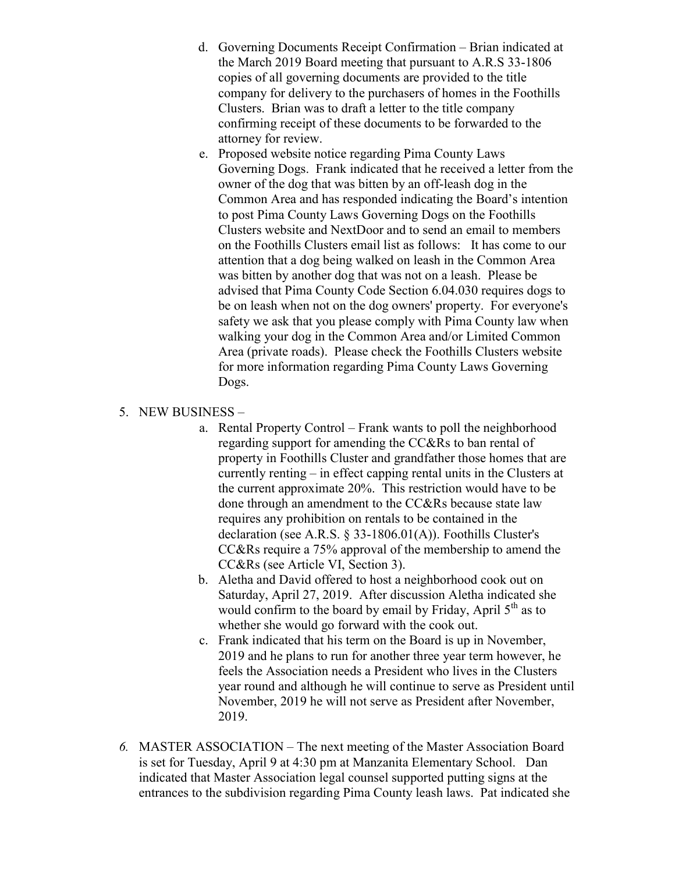- d. Governing Documents Receipt Confirmation Brian indicated at the March 2019 Board meeting that pursuant to A.R.S 33-1806 copies of all governing documents are provided to the title company for delivery to the purchasers of homes in the Foothills Clusters. Brian was to draft a letter to the title company confirming receipt of these documents to be forwarded to the attorney for review.
- e. Proposed website notice regarding Pima County Laws Governing Dogs. Frank indicated that he received a letter from the owner of the dog that was bitten by an off-leash dog in the Common Area and has responded indicating the Board's intention to post Pima County Laws Governing Dogs on the Foothills Clusters website and NextDoor and to send an email to members on the Foothills Clusters email list as follows: It has come to our attention that a dog being walked on leash in the Common Area was bitten by another dog that was not on a leash. Please be advised that Pima County Code Section 6.04.030 requires dogs to be on leash when not on the dog owners' property. For everyone's safety we ask that you please comply with Pima County law when walking your dog in the Common Area and/or Limited Common Area (private roads). Please check the Foothills Clusters website for more information regarding Pima County Laws Governing Dogs.
- 5. NEW BUSINESS
	- a. Rental Property Control Frank wants to poll the neighborhood regarding support for amending the CC&Rs to ban rental of property in Foothills Cluster and grandfather those homes that are currently renting – in effect capping rental units in the Clusters at the current approximate 20%. This restriction would have to be done through an amendment to the CC&Rs because state law requires any prohibition on rentals to be contained in the declaration (see A.R.S. § 33-1806.01(A)). Foothills Cluster's CC&Rs require a 75% approval of the membership to amend the CC&Rs (see Article VI, Section 3).
	- b. Aletha and David offered to host a neighborhood cook out on Saturday, April 27, 2019. After discussion Aletha indicated she would confirm to the board by email by Friday, April  $5<sup>th</sup>$  as to whether she would go forward with the cook out.
	- c. Frank indicated that his term on the Board is up in November, 2019 and he plans to run for another three year term however, he feels the Association needs a President who lives in the Clusters year round and although he will continue to serve as President until November, 2019 he will not serve as President after November, 2019.
- 6. MASTER ASSOCIATION The next meeting of the Master Association Board is set for Tuesday, April 9 at 4:30 pm at Manzanita Elementary School. Dan indicated that Master Association legal counsel supported putting signs at the entrances to the subdivision regarding Pima County leash laws. Pat indicated she